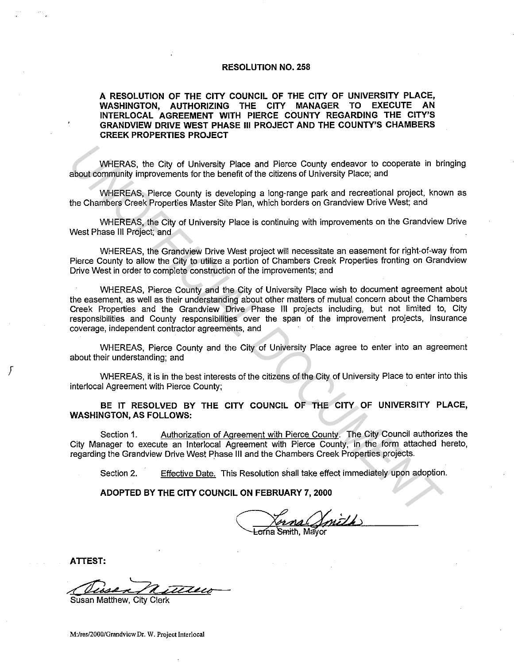#### **RESOLUTION NO. 258**

**A RESOLUTION OF THE CITY COUNCIL OF THE CITY OF UNIVERSITY PLACE, WASHINGTON, AUTHORIZING THE CITY MANAGER TO EXECUTE AN INTERLOCAL AGREEMENT WITH PIERCE COUNTY REGARDING THE CITY'S GRANDVIEW DRIVE WEST PHASE Ill PROJECT AND THE COUNTY'S CHAMBERS CREEK PROPERTIES PROJECT** 

WHERAS, the City of University Place and Pierce County endeavor to cooperate in bringing about community improvements for the benefit of the citizens of University Place; and

WHEREAS, Pierce County is developing a long-range park and recreational project, known as the Chambers Creek Properties Master Site Plan, which borders on Grandview Drive West; and

WHEREAS, the City of University Place is continuing with improvements on the Grandview Drive West Phase Ill Project; and

WHEREAS, the Grandview Drive West project will necessitate an easement for right-of-way from Pierce County to allow the City to utilize a portion of Chambers Creek Properties fronting on Grandview Drive West in order to complete construction of the improvements; and

WHEREAS, Pierce County and the City of University Place wish to document agreement about the easement, as well as their understanding about other matters of mutual concern about the Chambers Creek Properties and the Grandview Drive Phase Ill projects including, but not limited to, City responsibilities and County responsibilities over the span of the improvement projects, insurance coverage, independent contractor agreements, and **WHERAS, the City of University Place and Pierce County endeavor to cooperate in brackutommunity improvements for the benefit of the citzens of University Place, and<br>
WHEREAS, Pierce County is developing a long-range park** 

WHEREAS, Pierce County and the City of University Place agree to enter into an agreement about their understanding; and

WHEREAS, it is in the best interests of the citizens of the City of University Place to enter into this interlocal Agreement with Pierce County;

**BE IT RESOLVED BY THE CITY COUNCIL OF THE CITY OF UNIVERSITY PLACE, WASHINGTON, AS FOLLOWS:** 

Section 1. Authorization of Agreement with Pierce County. The City Council authorizes the City Manager to execute an lnterlocal Agreement with Pierce County, in the form attached hereto, regarding the Grandview Drive West Phase Ill and the Chambers Creek Properties projects.

Section 2. Effective Date. This Resolution shall take effect immediately upon adoption.

**ADOPTED BY THE CITY COUNCIL ON FEBRUARY 7, 2000** 

orna Smith Mavor

**ATTEST:** 

*r* 

Susan Matthew, City Clerk

**M:/res/2000/Grandview Dr. W. Project Interlocal**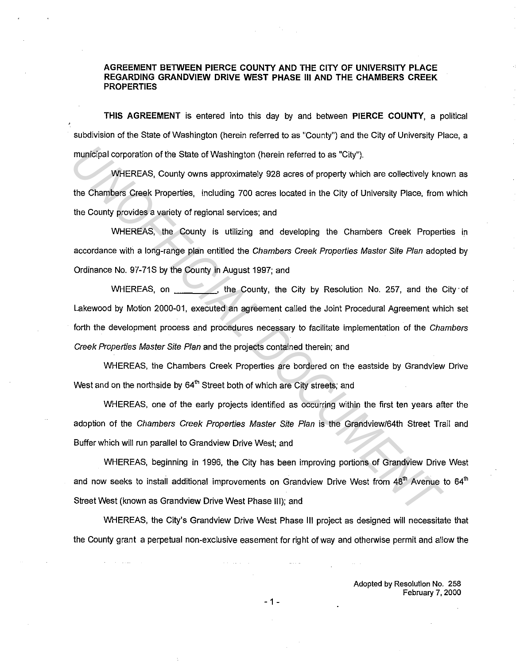### **AGREEMENT BETWEEN PIERCE COUNTY AND THE** CITY OF **UNIVERSITY PLACE REGARDING GRANDVIEW DRIVE WEST PHASE Ill AND THE CHAMBERS CREEK PROPERTIES**

**THIS AGREEMENT** is entered into this day by and between **PIERCE COUNTY,** a political subdivision of the State of Washington (herein referred to as "County") and the City of University Place, a municipal corporation of the State of Washington (herein referred to as "City").

WHEREAS, County owns approximately 928 acres of property which are collectively known as the Chambers Creek Properties, including 700 acres located in the City of University Place, from which the County provides a variety of regional services; and

WHEREAS, the County is utilizing and developing the Chambers Creek Properties in accordance with a long-range plan entitled the Chambers Creek Properties Master Site Plan adopted by Ordinance No. 97-71S by the County in August 1997; and

WHEREAS, on , the County, the City by Resolution No. 257, and the City of Lakewood by Motion 2000-01, executed an agreement called the Joint Procedural Agreement which set forth the development process and procedures necessary to facilitate implementation of the Chambers Creek Properties Master Site Plan and the projects contained therein; and **IMMidter Controllering Comparison** of the State of Washington (herein referred to as "City").<br>
WHEREAS, County owns approximately 928 acres of property which are collectively knot<br>
the Chambers Creek Properties, including

WHEREAS, the Chambers Creek Properties are bordered on the eastside by Grandview Drive West and on the northside by  $64<sup>th</sup>$  Street both of which are City streets; and

WHEREAS, one of the early projects identified as occurring within the first ten years after the adoption of the Chambers Creek Properties Master Site Plan is the Grandview/64th Street Trail and Buffer which will run parallel to Grandview Drive West; and

WHEREAS, beginning in 1996, the City has been improving portions of Grandview Drive West and now seeks to install additional improvements on Grandview Drive West from  $48^\text{th}$  Avenue to 64<sup>th</sup> Street West (known as Grandview Drive West Phase Ill); and

WHEREAS, the City's Grandview Drive West Phase Ill project as designed will necessitate that the County grant a perpetual non-exclusive easement for right of way and otherwise permit and allow the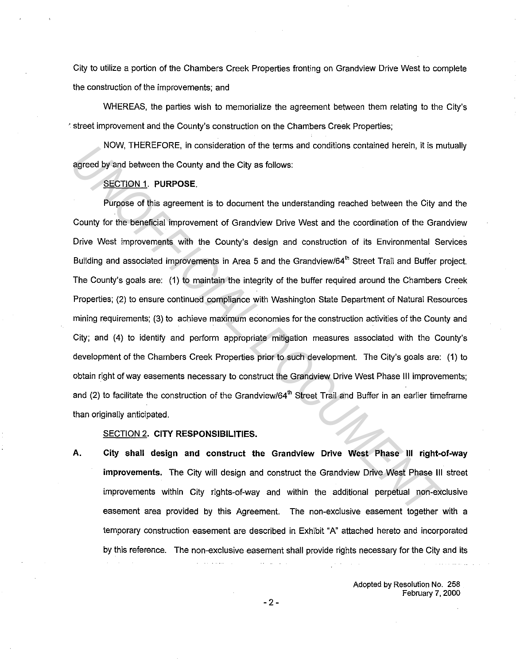City to utilize a portion of the Chambers Creek Properties fronting on Grandview Drive West to complete the construction of the improvements; and

WHEREAS, the parties wish to memorialize the agreement between them relating to the City's · street improvement and the County's construction on the Chambers Creek Properties;

NOW, THEREFORE, in consideration of the terms and conditions contained herein, it is mutually agreed by and between the County and the City as follows:

## SECTION 1. **PURPOSE.**

Purpose of this agreement is to document the understanding reached between the City and the County for the beneficial improvement of Grandview Drive West and the coordination of the Grandview Drive West improvements with the County's design and construction of its Environmental Services Building and associated improvements in Area 5 and the Grandview/64<sup>th</sup> Street Trail and Buffer project. The County's goals are: (1) to maintain the integrity of the buffer required around the Chambers Creek Properties; (2) to ensure continued compliance with Washington State Department of Natural Resources mining requirements; (3) to achieve maximum economies for the construction activities of the County and City; and (4) to identify and perform appropriate mitigation measures associated with the County's development of the Chambers Creek Properties prior to such development. The City's goals are: (1) to obtain right of way easements necessary to construct the Grandview Drive West Phase Ill improvements; and (2) to facilitate the construction of the Grandview/64<sup>th</sup> Street Trail and Buffer in an earlier timeframe than originally anticipated. **EXECTION 1.** INCREAT UNITE CONDUCTED THE STANDAPT SONDAPT SONDAPT SURFALL DREAT AND SECTION 1. PURPOSE.<br> **EXECTION 1.** PURPOSE.<br>
Purpose of this agreement is to document the understanding reached between the City as<br>
Dout

# SECTION 2. **CITY RESPONSIBILITIES.**

**A. City shall design and construct the Grandview Drive West Phase Ill right-of-way improvements.** The City will design and construct the Grandview Drive West Phase 111 street improvements within City rights-of-way and within the additional perpetual non-exclusive easement area provided by this Agreement. The non-exclusive easement together with a temporary construction easement are described in Exhibit "A" attached hereto and incorporated by this reference. The non-exclusive easement shall provide rights necessary for the City and its

> Adopted by Resolution No. 258 February 7, 2000

- 2 -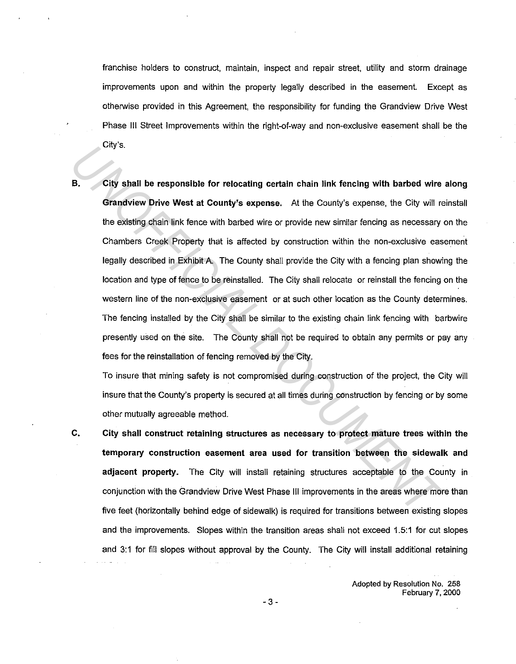franchise holders to construct, maintain, inspect and repair street, utility and storm drainage improvements upon and within the property legally described in the easement. Except as otherwise provided in this Agreement, the responsibility for funding the Grandview Drive West Phase Ill Street Improvements within the right-of-way and non-exclusive easement shall be the City's.

**B. City shall be responsible for relocating certain chain link fencing with barbed wire along Grandview Drive West at County's expense.** At the County's expense, the City will reinstall the existing chain link fence with barbed wire or provide new similar fencing as necessary on the Chambers Creek Property that is affected by construction within the non-exclusive easement legally described in Exhibit A. The County shall provide the City with a fencing plan showing the location and type of fence to be reinstalled. The City shall relocate or reinstall the fencing on the western line of the non-exclusive easement or at such other location as the County determines. The fencing installed by the City shall be similar to the existing chain link fencing with barbwire presently used on the site. The County shall not be required to obtain any permits or pay any fees for the reinstallation of fencing removed by the City. *UNIS.*<br> **B.** City shall be responsible for relocating certain chain link fencing with barbed wire<br>
the existing chain link fence with barbed wire or provide new similar fencing as necessary<br>
Chambers Creak Property that i

To insure that mining safety is not compromised during construction of the project, the City will insure that the County's property is secured at all times during construction by fencing or by some other mutually agreeable method.

**C. City shall construct retaining structures as necessary to protect mature trees within the temporary construction easement area used for transition between the sidewalk and adjacent property.** The City will install retaining structures acceptable to the County in conjunction with the Grandview Drive West Phase Ill improvements in the areas where more than five feet (horizontally behind edge of sidewalk) is required for transitions between existing slopes and the improvements. Slopes within the transition areas shall not exceed 1.5:1 for cut slopes and 3:1 for fill slopes without approval by the County. The City will install additional retaining

> Adopted by Resolution No. 258 February 7, 2000

-3-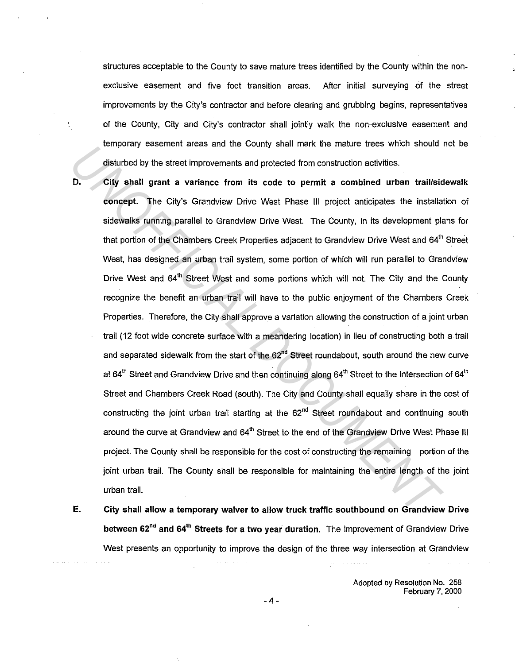structures acceptable to the County to save mature trees identified by the County within the nonexclusive easement and five foot transition areas. After initial surveying of the street improvements by the City's contractor and before clearing and grubbing begins, representatives of the County, City and City's contractor shall jointly walk the non-exclusive easement and temporary easement areas and the County shall mark the mature trees which should not be disturbed by the street improvements and protected from construction activities.

- 
- **D. City shall grant a variance from its code to permit a combined urban trail/sidewalk concept.** The City's Grandview Drive West Phase 111 project anticipates the installation of sidewalks running parallel to Grandview Drive West. The County, in its development plans for that portion of the Chambers Creek Properties adjacent to Grandview Drive West and 64<sup>th</sup> Street West, has designed an urban trail system, some portion of which will run parallel to Grandview Drive West and 64<sup>th</sup> Street West and some portions which will not. The City and the County recognize the benefit an urban trail will have to the public enjoyment of the Chambers Creek Properties. Therefore, the City shall approve a variation allowing the construction of a joint urban trail (12 foot wide concrete surface with a meandering location) in lieu of constructing both a trail and separated sidewalk from the start of the  $62<sup>nd</sup>$  Street roundabout, south around the new curve at 64<sup>th</sup> Street and Grandview Drive and then continuing along 64<sup>th</sup> Street to the intersection of 64<sup>th</sup> Street and Chambers Creek Road (south). The City and County shall equally share in the cost of constructing the joint urban trail starting at the  $62<sup>nd</sup>$  Street roundabout and continuing south around the curve at Grandview and 64<sup>th</sup> Street to the end of the Grandview Drive West Phase III project. The County shall be responsible for the cost of constructing the remaining portion of the joint urban trail. The County shall be responsible for maintaining the entire length of the joint urban trail. *Unipolary* easement areas and the County shall make the intent effects which should disturbed by the strete improvements and protected from construction activities.<br> **D.** City shall grant a variance from its code to permi
- **E. City shall allow a temporary waiver to allow truck traffic southbound on Grandview Drive between 62<sup>nd</sup> and 64<sup>th</sup> Streets for a two year duration. The improvement of Grandview Drive** West presents an opportunity to improve the design of the three way intersection at Grandview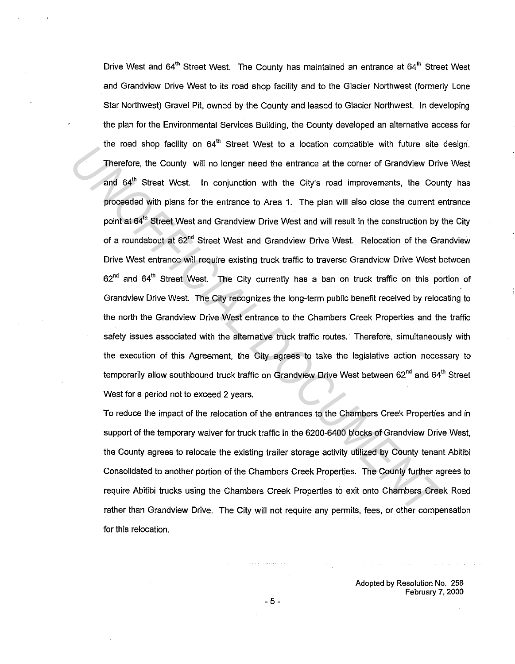Drive West and 64<sup>th</sup> Street West. The County has maintained an entrance at 64<sup>th</sup> Street West and Grandview Drive West to its road shop facility and to the Glacier Northwest (formerly Lone Star Northwest) Gravel Pit, owned by the County and leased to Glacier Northwest. In developing the plan for the Environmental Services Building, the County developed an alternative access for the road shop facility on 64<sup>th</sup> Street West to a location compatible with future site design. Therefore, the County will no longer need the entrance at the corner of Grandview Drive West and  $64^{\text{th}}$  Street West. In conjunction with the City's road improvements, the County has proceeded with plans for the entrance to Area 1. The plan will also close the current entrance point at 64<sup>th</sup> Street West and Grandview Drive West and will result in the construction by the City of a roundabout at 62"d Street West and Grandview Drive West. Relocation of the Grandview Drive West entrance will require existing truck traffic to traverse Grandview Drive West between 62<sup>nd</sup> and 64<sup>th</sup> Street West. The City currently has a ban on truck traffic on this portion of Grandview Drive West. The City recognizes the long-term public benefit received by relocating to the north the Grandview Drive West entrance to the Chambers Creek Properties and the traffic safety issues associated with the alternative truck traffic routes. Therefore, simultaneously with the execution of this Agreement, the City agrees to take the legislative action necessary to temporarily allow southbound truck traffic on Grandview Drive West between 62<sup>nd</sup> and 64<sup>th</sup> Street West for a period not to exceed 2 years. Therafore, the County will no longer need the entrance at the comer of Grandview Driv<br>
Therafore, the County will no longer need the entrance at the comer of Grandview Driv<br>
and 64<sup>th</sup> Street West. In conjunction with the

To reduce the impact of the relocation of the entrances to the Chambers Creek Properties and in support of the temporary waiver for truck traffic in the 6200-6400 blocks of Grandview Drive West, the County agrees to relocate the existing trailer storage activity utilized by County tenant Abitibi Consolidated to another portion of the Chambers Creek Properties. The County further agrees to require Abitibi trucks using the Chambers Creek Properties to exit onto Chambers Creek Road rather than Grandview Drive. The City will not require any permits, fees, or other compensation for this relocation.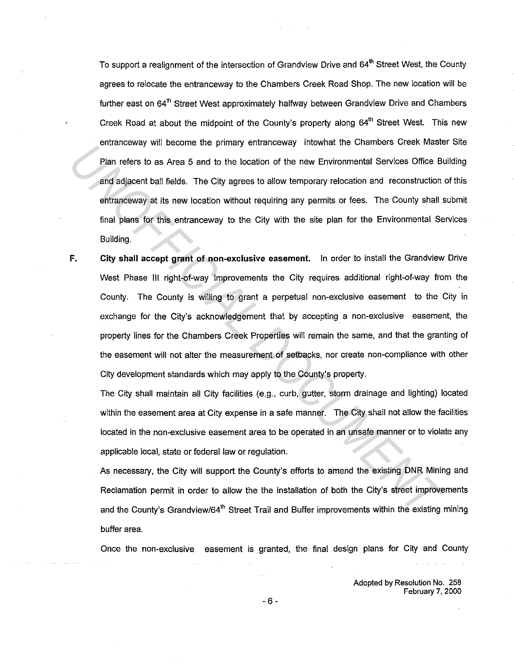To support a realignment of the intersection of Grandview Drive and 64<sup>th</sup> Street West, the County agrees to relocate the entranceway to the Chambers Creek Road Shop. The new location will be further east on 64<sup>th</sup> Street West approximately halfway between Grandview Drive and Chambers Creek Road at about the midpoint of the County's property along 64<sup>th</sup> Street West. This new entranceway will become the primary entranceway intowhat the Chambers Creek Master Site Plan refers to as Area 5 and to the location of the new Environmental Services Office Building and adjacent ball fields. The City agrees to allow temporary relocation and reconstruction of this entranceway at its new location without requiring any permits or fees. The County shall submit final plans for this entranceway to the City with the site plan for the Environmental Services Building.

**F. City shall accept grant of non-exclusive easement.** Jn order to install the Grandview Drive West Phase Ill right-of-way improvements the City requires additional right-of-way from the County. The County is willing to grant a perpetual non-exclusive easement to the City in exchange for the City's acknowledgement that by accepting a non-exclusive easement, the property lines for the Chambers Creek Properties will remain the same, and that the granting of the easement will not alter the measurement of setbacks, nor create non-compliance with other City development standards which may apply to the County's property. Financessory will be close to the location of the new Environmental Secret must<br>
Plan refers to as Area 5 and to the location of the new Environmental Series Office B.<br> *End adjagent* ball fields. The City agrees to allow

The City shall maintain all City facilities (e.g., curb, gutter, storm drainage and lighting) located within the easement area at City expense in a safe manner. The City shall not allow the facilities located in the non-exclusive easement area to be operated in an unsafe manner or to violate any applicable local, state or federal law or regulation.

As necessary, the City will support the County's efforts to amend the existing DNR Mining and Reclamation permit in order to allow the the installation of both the City's street improvements and the County's Grandview/64<sup>th</sup> Street Trail and Buffer improvements within the existing mining buffer area.

Once the non-exclusive easement is granted, the final design plans for City and County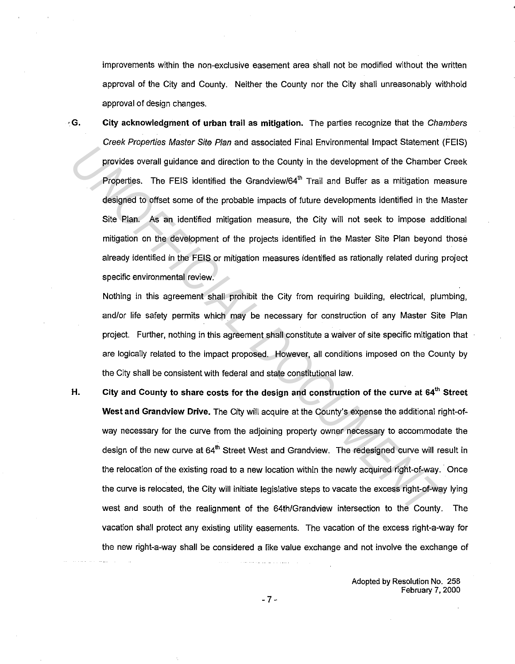improvements within the non-exclusive easement area shall not be modified without the written approval of the City and County. Neither the County nor the City shall unreasonably withhold approval of design changes.

· **G. City acknowledgment of urban trail as mitigation.** The parties recognize that the Chambers Creek Properties Master Site Plan and associated Final Environmental Impact Statement (FEIS) provides overall guidance and direction to the County in the development of the Chamber Creek Properties. The FEIS identified the Grandview/64 $<sup>th</sup>$  Trail and Buffer as a mitigation measure</sup> designed to offset some of the probable impacts of future developments identified in the Master Site Plan. As an identified mitigation measure, the City will not seek to impose additional mitigation on the development of the projects identified in the Master Site Plan beyond those already identified in the FEIS or mitigation measures identified as rationally related during project specific environmental review. **Example 10** unit and the consistent with the channel and the channel and the channel and the Channel properties. The FEIS identified the Grandview/64<sup>h</sup> Trail and Buffer as a mitigation measure, the Channel designed to of

Nothing in this agreement shall prohibit the City from requiring building, electrical, plumbing, and/or life safety permits which may be necessary for construction of any Master Site Plan project. Further, nothing in this agreement shall constitute a waiver of site specific mitigation that are logically related to the impact proposed. However, all conditions imposed on the County by the City shall be consistent with federal and state constitutional law.

**H. City and County to share costs for the design and construction of the curve at 64'" Street West and Grandview Drive.** The City will acquire at the County's expense the additional right-ofway necessary for the curve from the adjoining property owner necessary to accommodate the design of the new curve at 64<sup>th</sup> Street West and Grandview. The redesigned curve will result in the relocation of the existing road to a new location within the newly acquired right-of-way. Once the curve is relocated, the City will initiate legislative steps to vacate the excess right-of-way lying west and south of the realignment of the 64th/Grandview intersection to the County. The vacation shall protect any existing utility easements. The vacation of the excess right-a-way for the new right-a-way shall be considered a like value exchange and not involve the exchange of

> Adopted by Resolution No. 258 February 7, 2000

-7-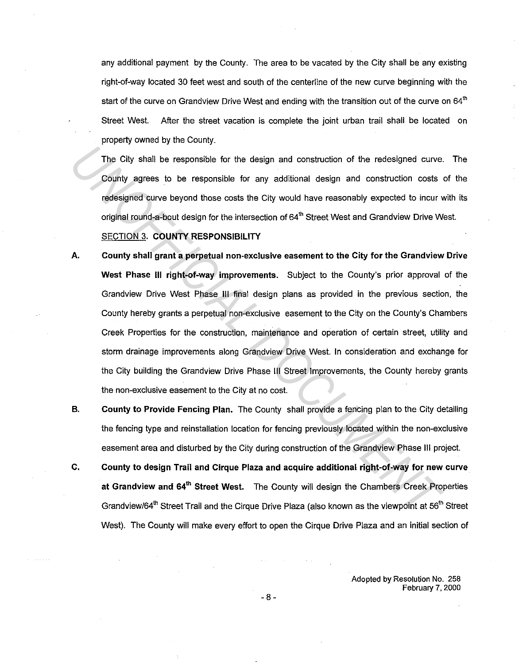any additional payment by the County. The area to be vacated by the City shall be any existing right-of-way located 30 feet west and south of the centerline of the new curve beginning with the start of the curve on Grandview Drive West and ending with the transition out of the curve on 64<sup>th</sup> Street West. After the street vacation is complete the joint urban trail shall be located on property owned by the County.

The City shall be responsible for the design and construction of the redesigned curve. The County agrees to be responsible for any additional design and construction costs of the redesigned curve beyond those costs the City would have reasonably expected to incur with its original round-a-bout design for the intersection of 64<sup>th</sup> Street West and Grandview Drive West.

## SECTION 3. **COUNTY RESPONSIBILITY**

- **A. County shall grant a perpetual non-exclusive easement to the City for the Grandview Drive West Phase Ill right-of-way improvements.** Subject to the County's prior approval of the Grandview Drive West Phase Ill final design plans as provided in the previous section, the County hereby grants a perpetual non-exclusive easement to the City on the County's Chambers Creek Properties for the construction, maintenance and operation of certain street, utility and storm drainage improvements along Grandview Drive West. In consideration and exchange for the City building the Grandview Drive Phase Ill Street Improvements, the County hereby grants the non-exclusive easement to the City at no cost. The City shall be responsible for the design and construction of the redesigned curve.<br> *UNOFFICIAL DOCUMENTA* are costs the City would have reasonably expected to incurr original round-s-bout design for the intersection o
- **B. County to Provide Fencing Plan.** The County shall provide a fencing plan to the City detailing the fencing type and reinstallation location for fencing previously located within the non-exclusive easement area and disturbed by the City during construction of the Grandview Phase Ill project.
- **C. County to design Trail and Cirque Plaza and acquire additional right-of-way for new curve at Grandview and 64'h Street West.** The County will design the Chambers Creek Properties Grandview/64<sup>th</sup> Street Trail and the Cirque Drive Plaza (also known as the viewpoint at 56<sup>th</sup> Street West). The County will make every effort to open the Cirque Drive Plaza and an initial section of

Adopted by Resolution No. 258 February 7, 2000

-8-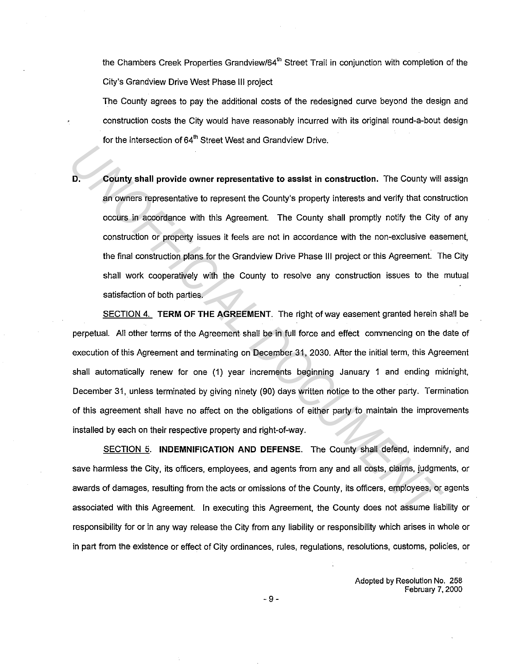the Chambers Creek Properties Grandview/64<sup>th</sup> Street Trail in conjunction with completion of the City's Grandview Drive West Phase Ill project

The County agrees to pay the additional costs of the redesigned curve beyond the design and construction costs the City would have reasonably incurred with its original round-a-bout design for the intersection of 64<sup>th</sup> Street West and Grandview Drive.

**D. County shall provide owner representative to assist in construction.** The County will assign an owners representative to represent the County's property interests and verify that construction occurs in accordance with this Agreement. The County shall promptly notify the City of any construction or property issues it feels are not in accordance with the non-exclusive easement, the final construction plans for the Grandview Drive Phase 111 project or this Agreement. The City shall work cooperatively with the County to resolve any construction issues to the mutual satisfaction of both parties.

SECTION 4. **TERM OF THE AGREEMENT.** The right of way easement granted herein shall be perpetual. All other terms of the Agreement shall be in full force and effect commencing on the date of execution of this Agreement and terminating on December 31, 2030. After the initial term, this Agreement shall automatically renew for one (1) year increments beginning January 1 and ending midnight, December 31, unless terminated by giving ninety (90) days written notice to the other party. Termination of this agreement shall have no affect on the obligations of either party to maintain the improvements installed by each on their respective property and right-of-way. **D.** County shall provide owner representative to assist in construction. The County will<br>an owners representative to represent the County's property interests and verify that const<br>cocurs in accordance with this Agreement

SECTION 5. **INDEMNIFICATION AND DEFENSE.** The County shall defend, indemnify, and save harmless the City, its officers, employees, and agents from any and all costs, claims, judgments, or awards of damages, resulting from the acts or omissions of the County, its officers, employees, or agents associated with this Agreement. In executing this Agreement, the County does not assume liability or responsibility for or in any way release the City from any liability or responsibility which arises in whole or in part from the existence or effect of City ordinances, rules, regulations, resolutions, customs, policies, or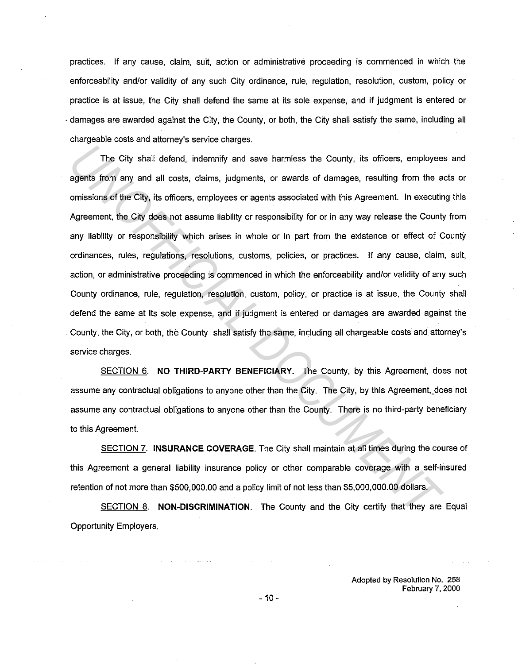practices. If any cause, claim, suit, action or administrative proceeding is commenced in which the enforceability and/or validity of any such City ordinance, rule, regulation, resolution, custom, policy or practice is at issue, the City shall defend the same at its sole expense, and if judgment is entered or ·damages are awarded against the City, the County, or both, the City shall satisfy the same, including all chargeable costs and attorney's service charges.

The City shall defend, indemnify and save harmless the County, its officers, employees and agents from any and all costs, claims, judgments, or awards of damages, resulting from the acts or omissions of the City, its officers, employees or agents associated with this Agreement. In executing this Agreement, the City does not assume liability or responsibility for or in any way release the County from any liability or responsibility which arises in whole or in part from the existence or effect of County ordinances, rules, regulations, resolutions, customs, policies, or practices. If any cause, claim, suit, action, or administrative proceeding is commenced in which the enforceability and/or validity of any such County ordinance, rule, regulation, resolution, custom, policy, or practice is at issue, the County shall defend the same at its sole expense, and if judgment is entered or damages are awarded against the County, the City, or both, the County shall satisfy the same, including all chargeable costs and attorney's service charges. The City shall defend, indemnify and save harmless the County, its officers, employee<br>agents from any and all costs, claims, judgments, or awards of damages, resulting from the a<br>omissions of the City, its officers, employ

SECTION 6. **NO THIRD-PARTY BENEFICIARY.** The County, by this Agreement, does not assume any contractual obligations to anyone other than the City. The City, by this Agreement,\_does not assume any contractual obligations to anyone other than the County. There is no third-party beneficiary to this Agreement.

SECTION 7. **INSURANCE COVERAGE.** The City shall maintain at all times during the course of this Agreement a general liability insurance policy or other comparable coverage with a self-insured retention of not more than \$500,000.00 and a policy limit of not less than \$5,000,000.00 dollars.

SECTION 8. **NON-DISCRIMINATION.** The County and the City certify that they are Equal Opportunity Employers.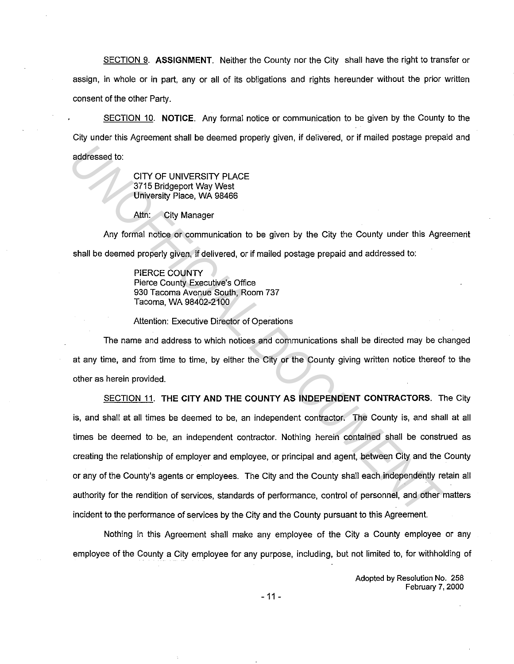SECTION 9. **ASSIGNMENT.** Neither the County nor the City shall have the right to transfer or assign, in whole or in part, any or all of its obligations and rights hereunder without the prior written consent of the other Party.

SECTION 10. **NOTICE.** Any formal notice or communication to be given by the County to the City under this Agreement shall be deemed properly given, if delivered, or if mailed postage prepaid and addressed to:

> CITY OF UNIVERSITY PLACE 3715 Bridgeport Way West University Place, WA 98466

Attn: City Manager

Any formal notice or communication to be given by the City the County under this Agreement shall be deemed properly given, if delivered, or if mailed postage prepaid and addressed to:

> PIERCE COUNTY Pierce County Executive's Office 930 Tacoma Avenue South, Room 737 Tacoma, WA 98402-2100

Attention: Executive Director of Operations

The name and address to which notices and communications shall be directed may be changed at any time, and from time to time, by either the City or the County giving written notice thereof to the other as herein provided.

SECTION 11. **THE CITY AND THE COUNTY AS INDEPENDENT CONTRACTORS.** The City is, and shall at all times be deemed to be, an independent contractor. The County is, and shall at all times be deemed to be, an independent contractor. Nothing herein contained shall be construed as creating the relationship of employer and employee, or principal and agent, between City and the County or any of the County's agents or employees. The City and the County shall each independently retain all authority for the rendition of services, standards of performance, control of personnel, and other matters incident to the performance of services by the City and the County pursuant to this Agreement. **EXAMPLE STATE AND THE SECTION 11.** The performance, control of personnel in the orany of the county of the counterpart of the counterpart of the counterpart of the counterpart of the counterpart of the counterpart of the

Nothing in this Agreement shall make any employee of the City a County employee or any employee of the County a City employee for any purpose, including, but not limited to, for withholding of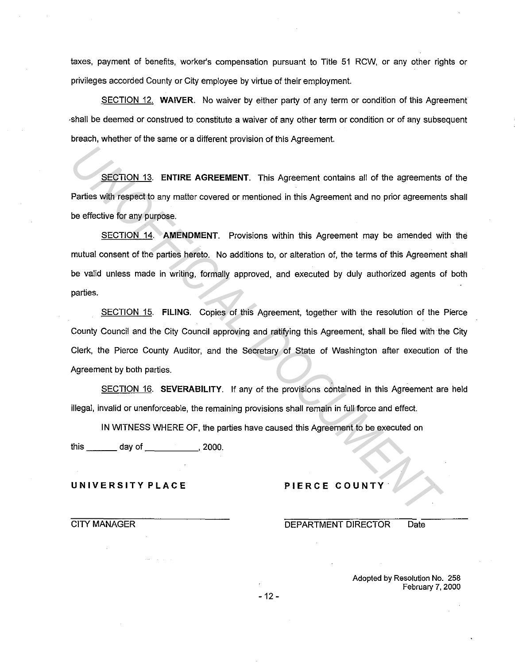taxes, payment of benefits, worker's compensation pursuant to Title 51 RCW, or any other rights or privileges accorded County or City employee by virtue of their employment.

SECTION 12. **WAIVER.** No waiver by either party of any term or condition of this Agreement ·shall be deemed or construed to constitute a waiver of any other term or condition or of any subsequent breach, whether of the same or a different provision of this Agreement.

SECTION 13. **ENTIRE AGREEMENT.** This Agreement contains all of the agreements of the Parties with respect to any matter covered or mentioned in this Agreement and no prior agreements shall be effective for any purpose.

SECTION 14. **AMENDMENT.** Provisions within this Agreement may be amended with the mutual consent of the parties hereto. No additions to, or alteration of, the terms of this Agreement shall be valid unless made in writing, formally approved, and executed by duly authorized agents of both parties. **INTERNATE AGREEMENT.** This Agreement contains all of the agreements<br>
Paries with respect to any matter covered or mentioned in this Agreement and no prior agreement<br>
be effective for any purpose.<br>
<u>SECTION 14</u>. AMENOMENT.

SECTION 15. **FILING.** Copies of this Agreement, together with the resolution of the Pierce County Council and the City Council approving and ratifying this Agreement, shall be filed with the City Clerk, the Pierce County Auditor, and the Secretary of State of Washington after execution of the Agreement by both parties.

SECTION 16. **SEVERABILITY.** If any of the provisions contained in this Agreement are held illegal, invalid or unenforceable, the remaining provisions shall remain in full force and effect.

IN WITNESS WHERE OF, the parties have caused this Agreement to be executed on

this \_\_\_ day of \_\_\_\_\_ , 2000.

## **UNIVERSITY PLACE**

## **PIERCE COUNTY**

CITY MANAGER

DEPARTMENT DIRECTOR Date

Adopted by Resolution No. 258 February 7, 2000

- 12 -